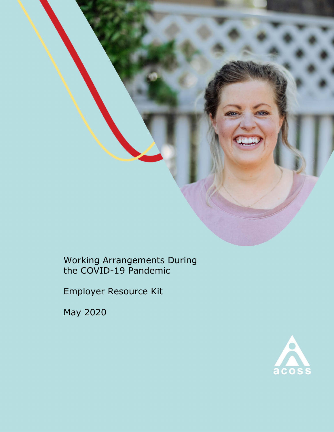

Working Arrangements During the COVID-19 Pandemic

Employer Resource Kit

May 2020

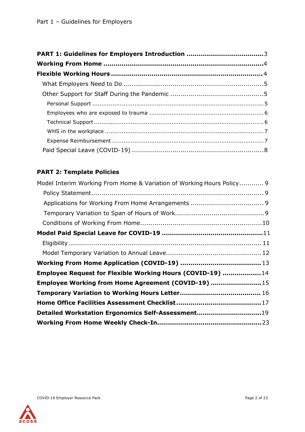## **PART 2: Template Policies**

| Model Interim Working From Home & Variation of Working Hours Policy 9 |  |
|-----------------------------------------------------------------------|--|
|                                                                       |  |
|                                                                       |  |
|                                                                       |  |
|                                                                       |  |
|                                                                       |  |
|                                                                       |  |
|                                                                       |  |
|                                                                       |  |
| Employee Request for Flexible Working Hours (COVID-19)  14            |  |
| Employee Working from Home Agreement (COVID-19)  15                   |  |
|                                                                       |  |
|                                                                       |  |
| Detailed Workstation Ergonomics Self-Assessment19                     |  |
|                                                                       |  |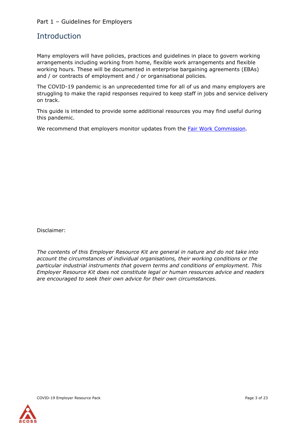#### Part 1 – Guidelines for Employers

### <span id="page-2-0"></span>**Introduction**

Many employers will have policies, practices and guidelines in place to govern working arrangements including working from home, flexible work arrangements and flexible working hours. These will be documented in enterprise bargaining agreements (EBAs) and / or contracts of employment and / or organisational policies.

The COVID-19 pandemic is an unprecedented time for all of us and many employers are struggling to make the rapid responses required to keep staff in jobs and service delivery on track.

This guide is intended to provide some additional resources you may find useful during this pandemic.

We recommend that employers monitor updates from the [Fair Work Commission.](https://www.fwc.gov.au/about-us/coronavirus-covid-19-updates-advice#field-content-1-heading)

Disclaimer:

*The contents of this Employer Resource Kit are general in nature and do not take into account the circumstances of individual organisations, their working conditions or the particular industrial instruments that govern terms and conditions of employment. This Employer Resource Kit does not constitute legal or human resources advice and readers are encouraged to seek their own advice for their own circumstances.*

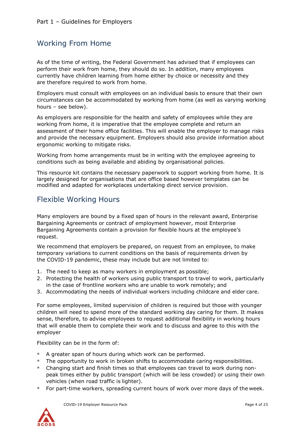## Working From Home

As of the time of writing, the Federal Government has advised that if employees can perform their work from home, they should do so. In addition, many employees currently have children learning from home either by choice or necessity and they are therefore required to work from home.

Employers must consult with employees on an individual basis to ensure that their own circumstances can be accommodated by working from home (as well as varying working hours – see below).

As employers are responsible for the health and safety of employees while they are working from home, it is imperative that the employee complete and return an assessment of their home office facilities. This will enable the employer to manage risks and provide the necessary equipment. Employers should also provide information about ergonomic working to mitigate risks.

Working from home arrangements must be in writing with the employee agreeing to conditions such as being available and abiding by organisational policies.

<span id="page-3-0"></span>This resource kit contains the necessary paperwork to support working from home. It is largely designed for organisations that are office based however templates can be modified and adapted for workplaces undertaking direct service provision.

## Flexible Working Hours

Many employers are bound by a fixed span of hours in the relevant award, Enterprise Bargaining Agreements or contract of employment however, most Enterprise Bargaining Agreements contain a provision for flexible hours at the employee's request.

We recommend that employers be prepared, on request from an employee, to make temporary variations to current conditions on the basis of requirements driven by the COVID-19 pandemic, these may include but are not limited to:

- 1. The need to keep as many workers in employment as possible;
- 2. Protecting the health of workers using public transport to travel to work, particularly in the case of frontline workers who are unable to work remotely; and
- 3. Accommodating the needs of individual workers including childcare and elder care.

For some employees, limited supervision of children is required but those with younger children will need to spend more of the standard working day caring for them. It makes sense, therefore, to advise employees to request additional flexibility in working hours that will enable them to complete their work and to discuss and agree to this with the employer

Flexibility can be in the form of:

- A greater span of hours during which work can be performed.
- The opportunity to work in broken shifts to accommodate caring responsibilities.
- Changing start and finish times so that employees can travel to work during nonpeak times either by public transport (which will be less crowded) or using their own vehicles (when road traffic is lighter).
- For part-time workers, spreading current hours of work over more days of the week.

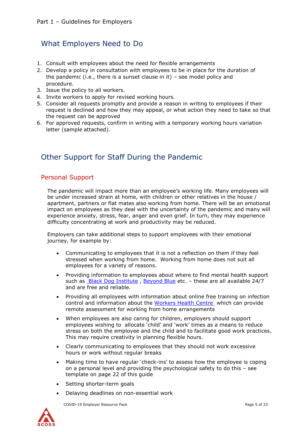## <span id="page-4-0"></span>What Employers Need to Do

- 1. Consult with employees about the need for flexible arrangements
- 2. Develop a policy in consultation with employees to be in place for the duration of the pandemic (i.e., there is a sunset clause in it) – see model policy and procedure.
- 3. Issue the policy to all workers.
- 4. Invite workers to apply for revised working hours.
- 5. Consider all requests promptly and provide a reason in writing to employees if their request is declined and how they may appeal, or what action they need to take so that the request can be approved
- 6. For approved requests, confirm in writing with a temporary working hours variation letter (sample attached).

## <span id="page-4-1"></span>Other Support for Staff During the Pandemic

#### <span id="page-4-2"></span>Personal Support

The pandemic will impact more than an employee's working life. Many employees will be under increased strain at home, with children or other relatives in the house / apartment, partners or flat mates also working from home. There will be an emotional impact on employees as they deal with the uncertainty of the pandemic and many will experience anxiety, stress, fear, anger and even grief. In turn, they may experience difficulty concentrating at work and productivity may be reduced.

Employers can take additional steps to support employees with their emotional journey, for example by:

- Communicating to employees that it is not a reflection on them if they feel stressed when working from home. Working from home does not suit all employees for a variety of reasons.
- Providing information to employees about where to find mental health support such as **Black Dog Institute**, [Beyond Blue](https://www.beyondblue.org.au/) etc. - these are all available 24/7 and are free and reliable.
- Providing all employees with information about online free training on infection control and information about the [Workers Health Centre](https://www.workershealth.com.au/) which can provide remote assessment for working from home arrangements
- When employees are also caring for children, employers should support employees wishing to allocate 'child' and 'work' times as a means to reduce stress on both the employee and the child and to facilitate good work practices. This may require creativity in planning flexible hours.
- Clearly communicating to employees that they should not work excessive hours or work without regular breaks
- Making time to have regular 'check-ins' to assess how the employee is coping on a personal level and providing the psychological safety to do this – see template on page 22 of this guide
- Setting shorter-term goals
- Delaying deadlines on non-essential work

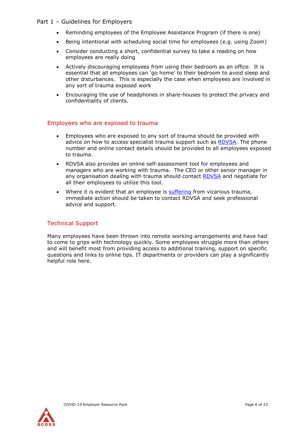#### Part 1 – Guidelines for Employers

- Reminding employees of the Employee Assistance Program (if there is one)
- Being intentional with scheduling social time for employees (e.g. using Zoom)
- Consider conducting a short, confidential survey to take a reading on how employees are really doing
- Actively discouraging employees from using their bedroom as an office. It is essential that all employees can 'go home' to their bedroom to avoid sleep and other disturbances. This is especially the case when employees are involved in any sort of trauma exposed work
- Encouraging the use of headphones in share-houses to protect the privacy and confidentiality of clients.

#### Employees who are exposed to trauma

- Employees who are exposed to any sort of trauma should be provided with advice on how to access specialist trauma support such as [RDVSA.](https://www.rape-dvservices.org.au/) The phone number and online contact details should be provided to all employees exposed to trauma.
- RDVSA also provides an online self-assessment tool for employees and managers who are working with trauma. The CEO or other senior manager in any organisation dealing with trauma should contact [RDVSA](https://www.rape-dvservices.org.au/) and negotiate for all their employees to utilize this tool.
- Where it is evident that an employee is [suffering](https://www.rape-dvservices.org.au/) from vicarious trauma, immediate action should be taken to contact RDVSA and seek professional advice and support.

#### Technical Support

Many employees have been thrown into remote working arrangements and have had to come to grips with technology quickly. Some employees struggle more than others and will benefit most from providing access to additional training, support on specific questions and links to online tips. IT departments or providers can play a significantly helpful role here.

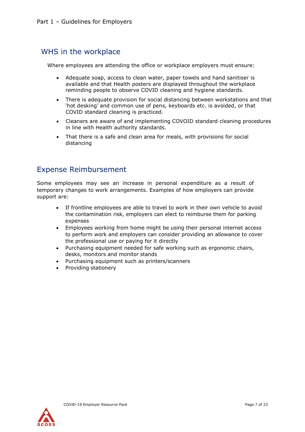## WHS in the workplace

Where employees are attending the office or workplace employers must ensure:

- Adequate soap, access to clean water, paper towels and hand sanitiser is available and that Health posters are displayed throughout the workplace reminding people to observe COVID cleaning and hygiene standards.
- There is adequate provision for social distancing between workstations and that 'hot desking' and common use of pens, keyboards etc. is avoided, or that COVID standard cleaning is practiced.
- Cleaners are aware of and implementing COVOID standard cleaning procedures in line with Health authority standards.
- That there is a safe and clean area for meals, with provisions for social distancing

## <span id="page-6-1"></span><span id="page-6-0"></span>Expense Reimbursement

Some employees may see an increase in personal expenditure as a result of temporary changes to work arrangements. Examples of how employers can provide support are:

- If frontline employees are able to travel to work in their own vehicle to avoid the contamination risk, employers can elect to reimburse them for parking expenses
- Employees working from home might be using their personal internet access to perform work and employers can consider providing an allowance to cover the professional use or paying for it directly
- Purchasing equipment needed for safe working such as ergonomic chairs, desks, monitors and monitor stands
- Purchasing equipment such as printers/scanners
- Providing stationery

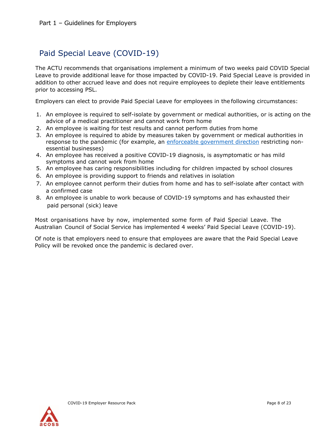## Paid Special Leave (COVID-19)

<span id="page-7-0"></span>The ACTU recommends that organisations implement a minimum of two weeks paid COVID Special Leave to provide additional leave for those impacted by COVID-19. Paid Special Leave is provided in addition to other accrued leave and does not require employees to deplete their leave entitlements prior to accessing PSL.

Employers can elect to provide Paid Special Leave for employees in the following circumstances:

- 1. An employee is required to self-isolate by government or medical authorities, or is acting on the advice of a medical practitioner and cannot work from home
- 2. An employee is waiting for test results and cannot perform duties from home
- 3. An employee is required to abide by measures taken by government or medical authorities in response to the pandemic (for example, an [enforceable](https://coronavirus.fairwork.gov.au/coronavirus-and-australian-workplace-laws/list-of-enforceable-government-directions-during-coronavirus) [government direction](https://coronavirus.fairwork.gov.au/coronavirus-and-australian-workplace-laws/list-of-enforceable-government-directions-during-coronavirus) restricting nonessential businesses)
- 4. An employee has received a positive COVID-19 diagnosis, is asymptomatic or has mild symptoms and cannot work from home
- 5. An employee has caring responsibilities including for children impacted by school closures
- 6. An employee is providing support to friends and relatives in isolation
- 7. An employee cannot perform their duties from home and has to self-isolate after contact with a confirmed case
- 8. An employee is unable to work because of COVID-19 symptoms and has exhausted their paid personal (sick) leave

Most organisations have by now, implemented some form of Paid Special Leave. The Australian Council of Social Service has implemented 4 weeks' Paid Special Leave (COVID-19).

Of note is that employers need to ensure that employees are aware that the Paid Special Leave Policy will be revoked once the pandemic is declared over.

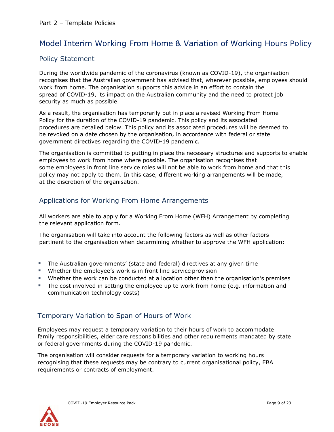## Model Interim Working From Home & Variation of Working Hours Policy

#### Policy Statement

During the worldwide pandemic of the coronavirus (known as COVID-19), the organisation recognises that the Australian government has advised that, wherever possible, employees should work from home. The organisation supports this advice in an effort to contain the spread of COVID-19, its impact on the Australian community and the need to protect job security as much as possible.

<span id="page-8-1"></span><span id="page-8-0"></span>As a result, the organisation has temporarily put in place a revised Working From Home Policy for the duration of the COVID-19 pandemic. This policy and its associated procedures are detailed below. This policy and its associated procedures will be deemed to be revoked on a date chosen by the organisation, in accordance with federal or state government directives regarding the COVID-19 pandemic.

The organisation is committed to putting in place the necessary structures and supports to enable employees to work from home where possible. The organisation recognises that some employees in front line service roles will not be able to work from home and that this policy may not apply to them. In this case, different working arrangements will be made, at the discretion of the organisation.

#### Applications for Working From Home Arrangements

All workers are able to apply for a Working From Home (WFH) Arrangement by completing the relevant application form.

The organisation will take into account the following factors as well as other factors pertinent to the organisation when determining whether to approve the WFH application:

- The Australian governments' (state and federal) directives at any given time
- <span id="page-8-2"></span>Whether the employee's work is in front line service provision
- Whether the work can be conducted at a location other than the organisation's premises
- The cost involved in setting the employee up to work from home (e.g. information and communication technology costs)

#### Temporary Variation to Span of Hours of Work

Employees may request a temporary variation to their hours of work to accommodate family responsibilities, elder care responsibilities and other requirements mandated by state or federal governments during the COVID-19 pandemic.

<span id="page-8-3"></span>The organisation will consider requests for a temporary variation to working hours recognising that these requests may be contrary to current organisational policy, EBA requirements or contracts of employment.

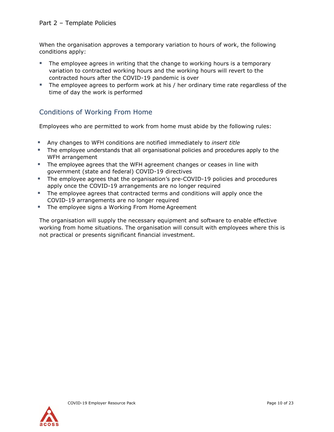When the organisation approves a temporary variation to hours of work, the following conditions apply:

- The employee agrees in writing that the change to working hours is a temporary variation to contracted working hours and the working hours will revert to the contracted hours after the COVID-19 pandemic is over
- The employee agrees to perform work at his / her ordinary time rate regardless of the time of day the work is performed

### Conditions of Working From Home

Employees who are permitted to work from home must abide by the following rules:

- <span id="page-9-0"></span>Any changes to WFH conditions are notified immediately to *insert title*
- The employee understands that all organisational policies and procedures apply to the WFH arrangement
- **The employee agrees that the WFH agreement changes or ceases in line with** government (state and federal) COVID-19 directives
- The employee agrees that the organisation's pre-COVID-19 policies and procedures apply once the COVID-19 arrangements are no longer required
- The employee agrees that contracted terms and conditions will apply once the COVID-19 arrangements are no longer required
- **The employee signs a Working From Home Agreement**

The organisation will supply the necessary equipment and software to enable effective working from home situations. The organisation will consult with employees where this is not practical or presents significant financial investment.

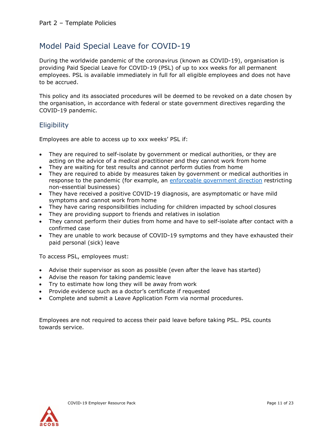## Model Paid Special Leave for COVID-19

<span id="page-10-0"></span>During the worldwide pandemic of the coronavirus (known as COVID-19), organisation is providing Paid Special Leave for COVID-19 (PSL) of up to xxx weeks for all permanent employees. PSL is available immediately in full for all eligible employees and does not have to be accrued.

This policy and its associated procedures will be deemed to be revoked on a date chosen by the organisation, in accordance with federal or state government directives regarding the COVID-19 pandemic.

#### **Eligibility**

Employees are able to access up to xxx weeks' PSL if:

- <span id="page-10-1"></span>• They are required to self-isolate by government or medical authorities, or they are acting on the advice of a medical practitioner and they cannot work from home
- They are waiting for test results and cannot perform duties from home
- They are required to abide by measures taken by government or medical authorities in response to the pandemic (for example, an [enforceable government direction](https://coronavirus.fairwork.gov.au/coronavirus-and-australian-workplace-laws/list-of-enforceable-government-directions-during-coronavirus) restricting non-essential businesses)
- They have received a positive COVID-19 diagnosis, are asymptomatic or have mild symptoms and cannot work from home
- They have caring responsibilities including for children impacted by school closures
- They are providing support to friends and relatives in isolation
- They cannot perform their duties from home and have to self-isolate after contact with a confirmed case
- They are unable to work because of COVID-19 symptoms and they have exhausted their paid personal (sick) leave

To access PSL, employees must:

- Advise their supervisor as soon as possible (even after the leave has started)
- Advise the reason for taking pandemic leave
- Try to estimate how long they will be away from work
- Provide evidence such as a doctor's certificate if requested
- Complete and submit a Leave Application Form via normal procedures.

Employees are not required to access their paid leave before taking PSL. PSL counts towards service.

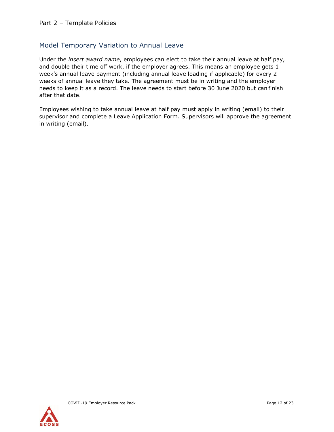#### Model Temporary Variation to Annual Leave

<span id="page-11-0"></span>Under the *insert award name*, employees can elect to take their annual leave at half pay, and double their time off work, if the employer agrees. This means an employee gets 1 week's annual leave payment (including annual leave loading if applicable) for every 2 weeks of annual leave they take. The agreement must be in writing and the employer needs to keep it as a record. The leave needs to start before 30 June 2020 but can finish after that date.

Employees wishing to take annual leave at half pay must apply in writing (email) to their supervisor and complete a Leave Application Form. Supervisors will approve the agreement in writing (email).

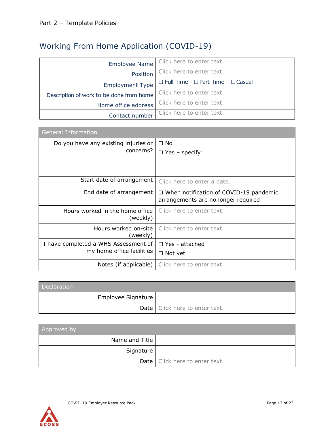# Working From Home Application (COVID-19)

<span id="page-12-0"></span>

| <b>Employee Name</b>                     | Click here to enter text.                       |
|------------------------------------------|-------------------------------------------------|
| Position                                 | Click here to enter text.                       |
| <b>Employment Type</b>                   | $\Box$ Full-Time $\Box$ Part-Time $\Box$ Casual |
| Description of work to be done from home | Click here to enter text.                       |
| Home office address                      | Click here to enter text.                       |
| Contact number                           | Click here to enter text.                       |

| <b>General Information</b>                  |                                                                                      |
|---------------------------------------------|--------------------------------------------------------------------------------------|
| Do you have any existing injuries or        | $\Box$ No                                                                            |
| concerns?                                   | $\Box$ Yes – specify:                                                                |
|                                             |                                                                                      |
|                                             |                                                                                      |
| Start date of arrangement                   | Click here to enter a date.                                                          |
| End date of arrangement                     | $\Box$ When notification of COVID-19 pandemic<br>arrangements are no longer required |
| Hours worked in the home office<br>(weekly) | Click here to enter text.                                                            |
| Hours worked on-site<br>(weekly)            | Click here to enter text.                                                            |
| I have completed a WHS Assessment of        | $\Box$ Yes - attached                                                                |
| my home office facilities                   | $\Box$ Not yet                                                                       |
| Notes (if applicable)                       | Click here to enter text.                                                            |

| <b>Declaration</b> |                                  |
|--------------------|----------------------------------|
| Employee Signature |                                  |
|                    | Date   Click here to enter text. |

| Approved by    |                                  |
|----------------|----------------------------------|
| Name and Title |                                  |
| Signature      |                                  |
|                | Date   Click here to enter text. |

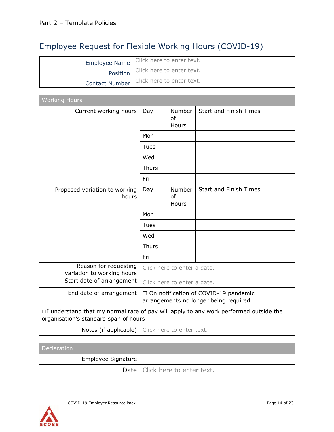# Employee Request for Flexible Working Hours (COVID-19)

<span id="page-13-0"></span>

|                | Employee Name   Click here to enter text. |
|----------------|-------------------------------------------|
|                | Position   Click here to enter text.      |
| Contact Number | Click here to enter text.                 |

| <b>Working Hours</b>                                                                                                                 |                                                                                 |                              |                               |  |
|--------------------------------------------------------------------------------------------------------------------------------------|---------------------------------------------------------------------------------|------------------------------|-------------------------------|--|
| Current working hours                                                                                                                | Day                                                                             | <b>Number</b><br>of<br>Hours | <b>Start and Finish Times</b> |  |
|                                                                                                                                      | Mon                                                                             |                              |                               |  |
|                                                                                                                                      | Tues                                                                            |                              |                               |  |
|                                                                                                                                      | Wed                                                                             |                              |                               |  |
|                                                                                                                                      | <b>Thurs</b>                                                                    |                              |                               |  |
|                                                                                                                                      | Fri                                                                             |                              |                               |  |
| Proposed variation to working<br>hours                                                                                               | Day                                                                             | Number<br>of<br>Hours        | <b>Start and Finish Times</b> |  |
|                                                                                                                                      | Mon                                                                             |                              |                               |  |
|                                                                                                                                      | Tues                                                                            |                              |                               |  |
|                                                                                                                                      | Wed                                                                             |                              |                               |  |
|                                                                                                                                      | <b>Thurs</b>                                                                    |                              |                               |  |
|                                                                                                                                      | Fri                                                                             |                              |                               |  |
| Reason for requesting<br>variation to working hours                                                                                  | Click here to enter a date.                                                     |                              |                               |  |
| Start date of arrangement                                                                                                            | Click here to enter a date.                                                     |                              |                               |  |
| End date of arrangement                                                                                                              | □ On notification of COVID-19 pandemic<br>arrangements no longer being required |                              |                               |  |
| $\Box$ I understand that my normal rate of pay will apply to any work performed outside the<br>organisation's standard span of hours |                                                                                 |                              |                               |  |
| Notes (if applicable)                                                                                                                | Click here to enter text.                                                       |                              |                               |  |

| Declaration        |                                  |
|--------------------|----------------------------------|
| Employee Signature |                                  |
|                    | Date   Click here to enter text. |

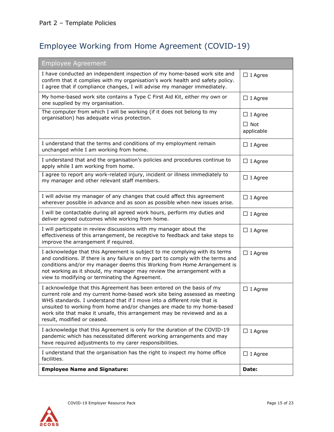# Employee Working from Home Agreement (COVID-19)

<span id="page-14-0"></span>

| <b>Employee Agreement</b>                                                                                                                                                                                                                                                                                                                                                                                            |                          |
|----------------------------------------------------------------------------------------------------------------------------------------------------------------------------------------------------------------------------------------------------------------------------------------------------------------------------------------------------------------------------------------------------------------------|--------------------------|
| I have conducted an independent inspection of my home-based work site and<br>confirm that it complies with my organisation's work health and safety policy.<br>I agree that if compliance changes, I will advise my manager immediately.                                                                                                                                                                             | $\Box$ I Agree           |
| My home-based work site contains a Type C First Aid Kit, either my own or<br>one supplied by my organisation.                                                                                                                                                                                                                                                                                                        | $\Box$ I Agree           |
| The computer from which I will be working (if it does not belong to my<br>organisation) has adequate virus protection.                                                                                                                                                                                                                                                                                               | $\Box$ I Agree           |
|                                                                                                                                                                                                                                                                                                                                                                                                                      | $\Box$ Not<br>applicable |
| I understand that the terms and conditions of my employment remain<br>unchanged while I am working from home.                                                                                                                                                                                                                                                                                                        | $\Box$ I Agree           |
| I understand that and the organisation's policies and procedures continue to<br>apply while I am working from home.                                                                                                                                                                                                                                                                                                  | $\Box$ I Agree           |
| I agree to report any work-related injury, incident or illness immediately to<br>my manager and other relevant staff members.                                                                                                                                                                                                                                                                                        | $\Box$ I Agree           |
| I will advise my manager of any changes that could affect this agreement<br>wherever possible in advance and as soon as possible when new issues arise.                                                                                                                                                                                                                                                              | $\Box$ I Agree           |
| I will be contactable during all agreed work hours, perform my duties and<br>deliver agreed outcomes while working from home.                                                                                                                                                                                                                                                                                        | $\Box$ I Agree           |
| I will participate in review discussions with my manager about the<br>effectiveness of this arrangement, be receptive to feedback and take steps to<br>improve the arrangement if required.                                                                                                                                                                                                                          | $\Box$ I Agree           |
| I acknowledge that this Agreement is subject to me complying with its terms<br>and conditions. If there is any failure on my part to comply with the terms and<br>conditions and/or my manager deems this Working from Home Arrangement is<br>not working as it should, my manager may review the arrangement with a<br>view to modifying or terminating the Agreement.                                              | $\Box$ I Agree           |
| I acknowledge that this Agreement has been entered on the basis of my<br>current role and my current home-based work site being assessed as meeting<br>WHS standards. I understand that if I move into a different role that is<br>unsuited to working from home and/or changes are made to my home-based<br>work site that make it unsafe, this arrangement may be reviewed and as a<br>result, modified or ceased. | $\Box$ I Agree           |
| I acknowledge that this Agreement is only for the duration of the COVID-19<br>pandemic which has necessitated different working arrangements and may<br>have required adjustments to my carer responsibilities.                                                                                                                                                                                                      | $\Box$ I Agree           |
| I understand that the organisation has the right to inspect my home office<br>facilities.                                                                                                                                                                                                                                                                                                                            | $\Box$ I Agree           |
| <b>Employee Name and Signature:</b>                                                                                                                                                                                                                                                                                                                                                                                  | Date:                    |

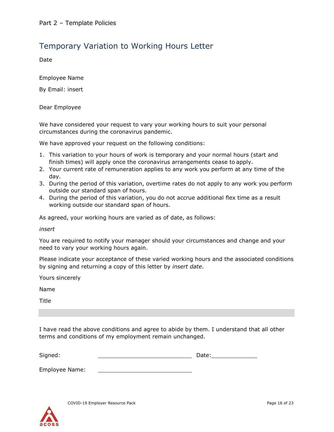## Temporary Variation to Working Hours Letter

Date

<span id="page-15-0"></span>Employee Name

By Email: insert

Dear Employee

We have considered your request to vary your working hours to suit your personal circumstances during the coronavirus pandemic.

We have approved your request on the following conditions:

- 1. This variation to your hours of work is temporary and your normal hours (start and finish times) will apply once the coronavirus arrangements cease to apply.
- 2. Your current rate of remuneration applies to any work you perform at any time of the day.
- 3. During the period of this variation, overtime rates do not apply to any work you perform outside our standard span of hours.
- 4. During the period of this variation, you do not accrue additional flex time as a result working outside our standard span of hours.

As agreed, your working hours are varied as of date, as follows:

*insert*

You are required to notify your manager should your circumstances and change and your need to vary your working hours again.

Please indicate your acceptance of these varied working hours and the associated conditions by signing and returning a copy of this letter by *insert date*.

Yours sincerely

Name

Title

I have read the above conditions and agree to abide by them. I understand that all other terms and conditions of my employment remain unchanged.

| Signed: |     | Date: |  |  |  |
|---------|-----|-------|--|--|--|
|         |     |       |  |  |  |
| $\sim$  | . . |       |  |  |  |

Employee Name:

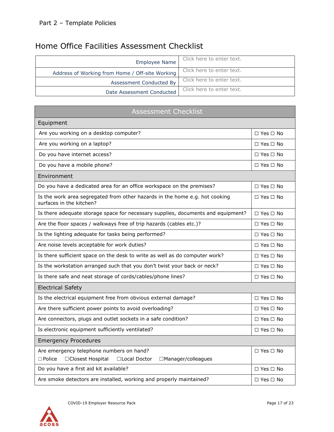## Home Office Facilities Assessment Checklist

<span id="page-16-0"></span>

| <b>Employee Name</b>                            | Click here to enter text. |
|-------------------------------------------------|---------------------------|
| Address of Working from Home / Off-site Working | Click here to enter text. |
| Assessment Conducted By                         | Click here to enter text. |
| Date Assessment Conducted                       | Click here to enter text. |

| <b>Assessment Checklist</b>                                                                                            |                      |  |  |  |  |  |  |
|------------------------------------------------------------------------------------------------------------------------|----------------------|--|--|--|--|--|--|
| Equipment                                                                                                              |                      |  |  |  |  |  |  |
| Are you working on a desktop computer?                                                                                 | $\Box$ Yes $\Box$ No |  |  |  |  |  |  |
| Are you working on a laptop?                                                                                           | $\Box$ Yes $\Box$ No |  |  |  |  |  |  |
| Do you have internet access?                                                                                           | $\Box$ Yes $\Box$ No |  |  |  |  |  |  |
| Do you have a mobile phone?                                                                                            | $\Box$ Yes $\Box$ No |  |  |  |  |  |  |
| Environment                                                                                                            |                      |  |  |  |  |  |  |
| Do you have a dedicated area for an office workspace on the premises?                                                  | $\Box$ Yes $\Box$ No |  |  |  |  |  |  |
| Is the work area segregated from other hazards in the home e.g. hot cooking<br>surfaces in the kitchen?                | $\Box$ Yes $\Box$ No |  |  |  |  |  |  |
| Is there adequate storage space for necessary supplies, documents and equipment?                                       | $\Box$ Yes $\Box$ No |  |  |  |  |  |  |
| Are the floor spaces / walkways free of trip hazards (cables etc.)?                                                    | $\Box$ Yes $\Box$ No |  |  |  |  |  |  |
| Is the lighting adequate for tasks being performed?                                                                    | $\Box$ Yes $\Box$ No |  |  |  |  |  |  |
| Are noise levels acceptable for work duties?                                                                           | $\Box$ Yes $\Box$ No |  |  |  |  |  |  |
| Is there sufficient space on the desk to write as well as do computer work?                                            | $\Box$ Yes $\Box$ No |  |  |  |  |  |  |
| Is the workstation arranged such that you don't twist your back or neck?                                               | $\Box$ Yes $\Box$ No |  |  |  |  |  |  |
| Is there safe and neat storage of cords/cables/phone lines?                                                            | $\Box$ Yes $\Box$ No |  |  |  |  |  |  |
| <b>Electrical Safety</b>                                                                                               |                      |  |  |  |  |  |  |
| Is the electrical equipment free from obvious external damage?                                                         | $\Box$ Yes $\Box$ No |  |  |  |  |  |  |
| Are there sufficient power points to avoid overloading?                                                                | $\Box$ Yes $\Box$ No |  |  |  |  |  |  |
| Are connectors, plugs and outlet sockets in a safe condition?                                                          | $\Box$ Yes $\Box$ No |  |  |  |  |  |  |
| Is electronic equipment sufficiently ventilated?                                                                       | □ Yes □ No           |  |  |  |  |  |  |
| <b>Emergency Procedures</b>                                                                                            |                      |  |  |  |  |  |  |
| Are emergency telephone numbers on hand?<br>□Closest Hospital<br>$\Box$ Police<br>□Local Doctor<br>□Manager/colleagues | $\Box$ Yes $\Box$ No |  |  |  |  |  |  |
| Do you have a first aid kit available?                                                                                 | $\Box$ Yes $\Box$ No |  |  |  |  |  |  |
| Are smoke detectors are installed, working and properly maintained?                                                    | $\Box$ Yes $\Box$ No |  |  |  |  |  |  |

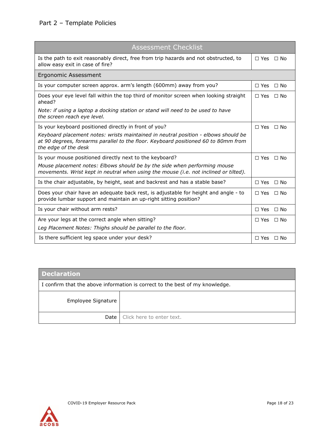| <b>Assessment Checklist</b>                                                                                                                                                                      |                         |
|--------------------------------------------------------------------------------------------------------------------------------------------------------------------------------------------------|-------------------------|
| Is the path to exit reasonably direct, free from trip hazards and not obstructed, to<br>allow easy exit in case of fire?                                                                         | $\Box$ Yes $\Box$ No    |
| <b>Ergonomic Assessment</b>                                                                                                                                                                      |                         |
| Is your computer screen approx. arm's length (600mm) away from you?                                                                                                                              | $\Box$ No<br>$\Box$ Yes |
| Does your eye level fall within the top third of monitor screen when looking straight<br>ahead?                                                                                                  | $\Box$ Yes $\Box$ No    |
| Note: if using a laptop a docking station or stand will need to be used to have<br>the screen reach eye level.                                                                                   |                         |
| Is your keyboard positioned directly in front of you?                                                                                                                                            | $\Box$ Yes $\Box$ No    |
| Keyboard placement notes: wrists maintained in neutral position - elbows should be<br>at 90 degrees, forearms parallel to the floor. Keyboard positioned 60 to 80mm from<br>the edge of the desk |                         |
| Is your mouse positioned directly next to the keyboard?                                                                                                                                          | $\Box$ Yes $\Box$ No    |
| Mouse placement notes: Elbows should be by the side when performing mouse<br>movements. Wrist kept in neutral when using the mouse (i.e. not inclined or tilted).                                |                         |
| Is the chair adjustable, by height, seat and backrest and has a stable base?                                                                                                                     | $\Box$ No<br>$\Box$ Yes |
| Does your chair have an adequate back rest, is adjustable for height and angle - to<br>provide lumbar support and maintain an up-right sitting position?                                         | $\Box$ Yes $\Box$ No    |
| Is your chair without arm rests?                                                                                                                                                                 | $\Box$ No<br>$\Box$ Yes |
| Are your legs at the correct angle when sitting?                                                                                                                                                 | $\Box$ No<br>$\Box$ Yes |
| Leg Placement Notes: Thighs should be parallel to the floor.                                                                                                                                     |                         |
| Is there sufficient leg space under your desk?                                                                                                                                                   | $\Box$ Yes $\Box$ No    |

<span id="page-17-0"></span>

| <b>Declaration</b>                                                           |                                  |  |  |  |  |  |
|------------------------------------------------------------------------------|----------------------------------|--|--|--|--|--|
| I confirm that the above information is correct to the best of my knowledge. |                                  |  |  |  |  |  |
| Employee Signature                                                           |                                  |  |  |  |  |  |
|                                                                              | Date   Click here to enter text. |  |  |  |  |  |

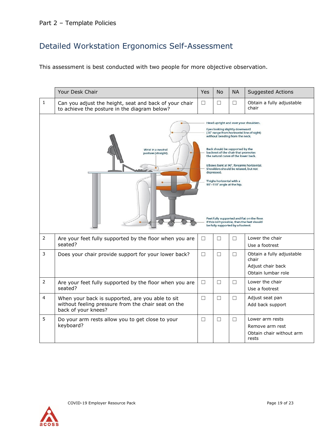# Detailed Workstation Ergonomics Self-Assessment

This assessment is best conducted with two people for more objective observation.

|                | Your Desk Chair                                                                                                                | <b>Yes</b> | <b>No</b>                                                                                                                                                                                                                                                                                                                                                                                                                                                                                                                                                                | <b>NA</b> | <b>Suggested Actions</b>                                                      |  |
|----------------|--------------------------------------------------------------------------------------------------------------------------------|------------|--------------------------------------------------------------------------------------------------------------------------------------------------------------------------------------------------------------------------------------------------------------------------------------------------------------------------------------------------------------------------------------------------------------------------------------------------------------------------------------------------------------------------------------------------------------------------|-----------|-------------------------------------------------------------------------------|--|
| $\mathbf 1$    | Can you adjust the height, seat and back of your chair<br>to achieve the posture in the diagram below?                         | $\Box$     | □                                                                                                                                                                                                                                                                                                                                                                                                                                                                                                                                                                        | □         | Obtain a fully adjustable<br>chair                                            |  |
|                | Wrist in a neutral<br>posture (straight).                                                                                      |            | Head upright and over your shoulders.<br>Eyes looking slightly downward<br>(30° range from horizontal line of sight)<br>without bending from the neck.<br>Back should be supported by the<br>backrest of the chair that promotes<br>the natural curve of the lower back.<br>Elbows bent at 90°, forearms horizontal.<br>Shoulders should be relaxed, but not<br>depressed.<br>Thighs horizontal with a<br>90°-110° angle at the hip.<br>Feet fully supported and flat on the floor.<br>If this isn't possible, then the feet should<br>be fully supported by a footrest. |           |                                                                               |  |
| $\overline{2}$ | Are your feet fully supported by the floor when you are<br>seated?                                                             | $\Box$     | □                                                                                                                                                                                                                                                                                                                                                                                                                                                                                                                                                                        | □         | Lower the chair<br>Use a footrest                                             |  |
| 3              | Does your chair provide support for your lower back?                                                                           | $\Box$     | $\Box$                                                                                                                                                                                                                                                                                                                                                                                                                                                                                                                                                                   | $\Box$    | Obtain a fully adjustable<br>chair<br>Adjust chair back<br>Obtain lumbar role |  |
| $\overline{2}$ | Are your feet fully supported by the floor when you are<br>seated?                                                             | $\Box$     | $\Box$                                                                                                                                                                                                                                                                                                                                                                                                                                                                                                                                                                   | $\Box$    | Lower the chair<br>Use a footrest                                             |  |
| 4              | When your back is supported, are you able to sit<br>without feeling pressure from the chair seat on the<br>back of your knees? | $\Box$     | $\Box$                                                                                                                                                                                                                                                                                                                                                                                                                                                                                                                                                                   | □         | Adjust seat pan<br>Add back support                                           |  |
| 5              | Do your arm rests allow you to get close to your<br>keyboard?                                                                  | $\Box$     | □                                                                                                                                                                                                                                                                                                                                                                                                                                                                                                                                                                        | $\Box$    | Lower arm rests<br>Remove arm rest<br>Obtain chair without arm<br>rests       |  |

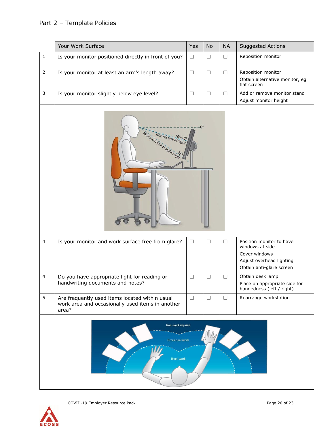## Part 2 – Template Policies

|                                                          | Your Work Surface                                                                                           | Yes    | No     | <b>NA</b> | Suggested Actions                                                                                                    |  |  |  |  |
|----------------------------------------------------------|-------------------------------------------------------------------------------------------------------------|--------|--------|-----------|----------------------------------------------------------------------------------------------------------------------|--|--|--|--|
| $\mathbf 1$                                              | Is your monitor positioned directly in front of you?                                                        | $\Box$ | $\Box$ | $\Box$    | Reposition monitor                                                                                                   |  |  |  |  |
| $\overline{2}$                                           | Is your monitor at least an arm's length away?                                                              | $\Box$ | $\Box$ | $\Box$    | Reposition monitor<br>Obtain alternative monitor, eg<br>flat screen                                                  |  |  |  |  |
| 3                                                        | Is your monitor slightly below eye level?                                                                   | $\Box$ | $\Box$ | $\Box$    | Add or remove monitor stand<br>Adjust monitor height                                                                 |  |  |  |  |
|                                                          | $0^{\circ}$<br>Maximum line of sight and a                                                                  |        |        |           |                                                                                                                      |  |  |  |  |
| $\overline{4}$                                           | Is your monitor and work surface free from glare?                                                           | $\Box$ | $\Box$ | $\Box$    | Position monitor to have<br>windows at side<br>Cover windows<br>Adjust overhead lighting<br>Obtain anti-glare screen |  |  |  |  |
| 4                                                        | Do you have appropriate light for reading or<br>handwriting documents and notes?                            | $\Box$ | $\Box$ | $\Box$    | Obtain desk lamp<br>Place on appropriate side for<br>handedness (left / right)                                       |  |  |  |  |
| 5                                                        | Are frequently used items located within usual<br>work area and occasionally used items in another<br>area? | $\Box$ | $\Box$ | $\Box$    | Rearrange workstation                                                                                                |  |  |  |  |
| Non-working area<br>Occasional work<br><b>Usual work</b> |                                                                                                             |        |        |           |                                                                                                                      |  |  |  |  |

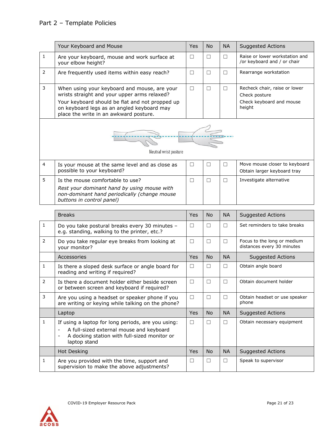|                | Your Keyboard and Mouse                                                                                                                                                                                                                 | Yes    | <b>No</b> | <b>NA</b> | <b>Suggested Actions</b>                                                             |
|----------------|-----------------------------------------------------------------------------------------------------------------------------------------------------------------------------------------------------------------------------------------|--------|-----------|-----------|--------------------------------------------------------------------------------------|
| $\mathbf{1}$   | Are your keyboard, mouse and work surface at<br>your elbow height?                                                                                                                                                                      | $\Box$ | $\Box$    | $\Box$    | Raise or lower workstation and<br>/or keyboard and / or chair                        |
| $\overline{2}$ | Are frequently used items within easy reach?                                                                                                                                                                                            | $\Box$ | $\Box$    | $\Box$    | Rearrange workstation                                                                |
| 3              | When using your keyboard and mouse, are your<br>wrists straight and your upper arms relaxed?<br>Your keyboard should be flat and not propped up<br>on keyboard legs as an angled keyboard may<br>place the write in an awkward posture. | $\Box$ | $\Box$    | $\Box$    | Recheck chair, raise or lower<br>Check posture<br>Check keyboard and mouse<br>height |
|                | Neutral wrist posture                                                                                                                                                                                                                   |        |           |           |                                                                                      |
| 4              | Is your mouse at the same level and as close as<br>possible to your keyboard?                                                                                                                                                           | $\Box$ | $\Box$    | $\Box$    | Move mouse closer to keyboard<br>Obtain larger keyboard tray                         |
| 5              | Is the mouse comfortable to use?<br>Rest your dominant hand by using mouse with<br>non-dominant hand periodically (change mouse<br>buttons in control panel)                                                                            | $\Box$ | $\Box$    | $\Box$    | Investigate alternative                                                              |
|                | <b>Breaks</b>                                                                                                                                                                                                                           | Yes    | No.       | <b>NA</b> | <b>Suggested Actions</b>                                                             |
| $\mathbf{1}$   | Do you take postural breaks every 30 minutes -                                                                                                                                                                                          | □      | $\Box$    | $\Box$    | Set reminders to take breaks                                                         |
|                | e.g. standing, walking to the printer, etc.?                                                                                                                                                                                            |        |           |           |                                                                                      |
| $\overline{2}$ | Do you take regular eye breaks from looking at<br>your monitor?                                                                                                                                                                         | $\Box$ | $\Box$    | $\Box$    | Focus to the long or medium<br>distances every 30 minutes                            |
|                | Accessories                                                                                                                                                                                                                             | Yes    | <b>No</b> | <b>NA</b> | <b>Suggested Actions</b>                                                             |
| $\mathbf{1}$   | Is there a sloped desk surface or angle board for<br>reading and writing if required?                                                                                                                                                   | $\Box$ | □         | $\Box$    | Obtain angle board                                                                   |
| 2              | Is there a document holder either beside screen<br>or between screen and keyboard if required?                                                                                                                                          | $\Box$ | $\Box$    | $\Box$    | Obtain document holder                                                               |
| 3              | Are you using a headset or speaker phone if you<br>are writing or keying while talking on the phone?                                                                                                                                    | □      | $\Box$    | $\Box$    | Obtain headset or use speaker<br>phone                                               |
|                | Laptop                                                                                                                                                                                                                                  | Yes    | <b>No</b> | <b>NA</b> | <b>Suggested Actions</b>                                                             |
| $\mathbf{1}$   | If using a laptop for long periods, are you using:<br>A full-sized external mouse and keyboard<br>$\overline{\phantom{0}}$<br>A docking station with full-sized monitor or<br>$\overline{\phantom{a}}$<br>laptop stand                  | $\Box$ | □         | $\Box$    | Obtain necessary equipment                                                           |
|                | Hot Desking                                                                                                                                                                                                                             | Yes    | <b>No</b> | <b>NA</b> | <b>Suggested Actions</b>                                                             |

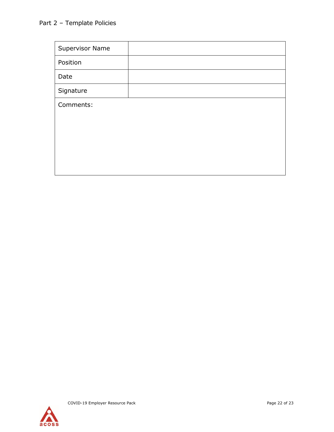<span id="page-21-0"></span>

| <b>Supervisor Name</b> |  |
|------------------------|--|
| Position               |  |
| Date                   |  |
| Signature              |  |
| Comments:              |  |
|                        |  |
|                        |  |
|                        |  |
|                        |  |
|                        |  |